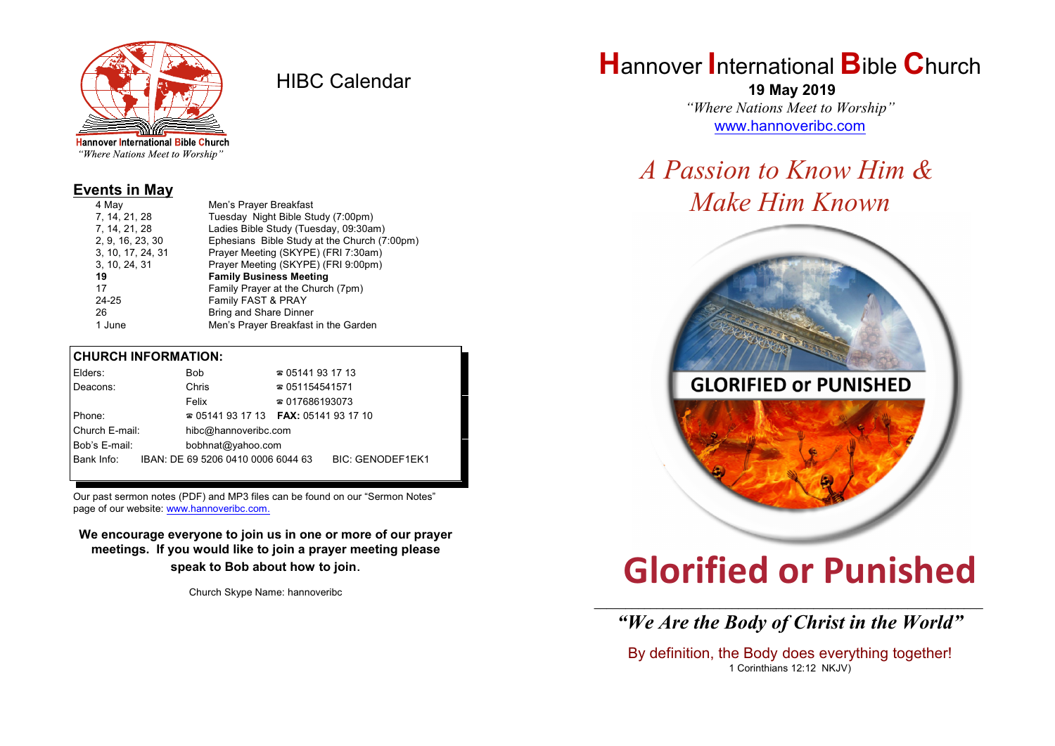

HIBC Calendar

"Where Nations Meet to Worship"

#### **Events in May**

| 4 May             | Men's Prayer Breakfast                       |  |  |
|-------------------|----------------------------------------------|--|--|
| 7, 14, 21, 28     | Tuesday Night Bible Study (7:00pm)           |  |  |
| 7, 14, 21, 28     | Ladies Bible Study (Tuesday, 09:30am)        |  |  |
| 2, 9, 16, 23, 30  | Ephesians Bible Study at the Church (7:00pm) |  |  |
| 3, 10, 17, 24, 31 | Prayer Meeting (SKYPE) (FRI 7:30am)          |  |  |
| 3, 10, 24, 31     | Prayer Meeting (SKYPE) (FRI 9:00pm)          |  |  |
| 19                | <b>Family Business Meeting</b>               |  |  |
| 17                | Family Prayer at the Church (7pm)            |  |  |
| 24-25             | Family FAST & PRAY                           |  |  |
| 26                | Bring and Share Dinner                       |  |  |
| 1 June            | Men's Prayer Breakfast in the Garden         |  |  |

#### **CHURCH INFORMATION:**

|                | Elders:                            |  | Bob                                | $\approx 05141931713$                    |                         |  |
|----------------|------------------------------------|--|------------------------------------|------------------------------------------|-------------------------|--|
|                | Deacons:                           |  | Chris                              | $\approx 051154541571$                   |                         |  |
|                |                                    |  | Felix                              | $\approx 017686193073$                   |                         |  |
| Phone:         |                                    |  |                                    | $\approx 05141931713$ FAX: 0514193 17 10 |                         |  |
| Church E-mail: |                                    |  | hibc@hannoveribc.com               |                                          |                         |  |
|                | Bob's E-mail:<br>bobhnat@yahoo.com |  |                                    |                                          |                         |  |
|                | Bank Info:                         |  | IBAN: DE 69 5206 0410 0006 6044 63 |                                          | <b>BIC: GENODEF1EK1</b> |  |
|                |                                    |  |                                    |                                          |                         |  |

Our past sermon notes (PDF) and MP3 files can be found on our "Sermon Notes" page of our website: [www.hannoveribc.com.](http://www.hannoveribc.com.)

**We encourage everyone to join us in one or more of our prayer meetings. If you would like to join a prayer meeting please speak to Bob about how to join**.

Church Skype Name: hannoveribc

# **H**annover **I**nternational **B**ible **C**hurch

 **19 May 2019** *"Where Nations Meet to Worship"* [www.hannoveribc.com](http://www.hannoveribc.com)

## *A Passion to Know Him & Make Him Known*



# **Glorified or Punished**

\_\_\_\_\_\_\_\_\_\_\_\_\_\_\_\_\_\_\_\_\_\_\_\_\_\_\_\_\_\_\_\_\_\_\_\_\_\_\_\_\_\_\_\_\_\_\_\_\_\_\_\_\_\_\_\_\_\_\_\_\_\_ *"We Are the Body of Christ in the World"*

By definition, the Body does everything together! 1 Corinthians 12:12 NKJV)